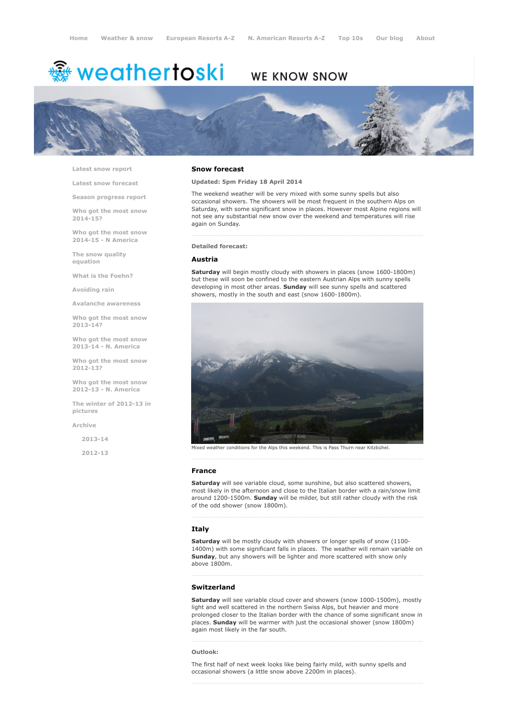# <del>鑾</del> weathertoski

# WE KNOW SNOW



Latest snow [report](http://www.weathertoski.co.uk/weather-snow/latest-snow-report/)

Latest snow [forecast](http://www.weathertoski.co.uk/weather-snow/latest-snow-forecast/)

Season [progress](http://www.weathertoski.co.uk/weather-snow/season-progress-report/) report

Who got the most snow 2014-15?

Who got the most snow 2014-15 - N America

The snow quality [equation](http://www.weathertoski.co.uk/weather-snow/the-snow-quality-equation/)

What is the [Foehn?](http://www.weathertoski.co.uk/weather-snow/what-is-the-foehn/)

[Avoiding](http://www.weathertoski.co.uk/weather-snow/avoiding-rain/) rain

Avalanche [awareness](http://www.weathertoski.co.uk/weather-snow/avalanche-awareness/)

Who got the most snow 2013-14?

Who got the most snow 2013-14 - N. America

Who got the most snow 2012-13?

Who got the most snow 2012-13 - N. America

The winter of 2012-13 in pictures

[Archive](http://www.weathertoski.co.uk/weather-snow/archive/)

2013-14

2012-13

### Snow forecast

Updated: 5pm Friday 18 April 2014

The weekend weather will be very mixed with some sunny spells but also occasional showers. The showers will be most frequent in the southern Alps on Saturday, with some significant snow in places. However most Alpine regions will not see any substantial new snow over the weekend and temperatures will rise again on Sunday.

#### Detailed forecast:

# Austria

Saturday will begin mostly cloudy with showers in places (snow 1600-1800m) but these will soon be confined to the eastern Austrian Alps with sunny spells developing in most other areas. Sunday will see sunny spells and scattered showers, mostly in the south and east (snow 1600-1800m).



Mixed weather conditions for the Alps this weekend. This is Pass Thurn near Kitzbühel.

#### France

Saturday will see variable cloud, some sunshine, but also scattered showers, most likely in the afternoon and close to the Italian border with a rain/snow limit around 1200-1500m. Sunday will be milder, but still rather cloudy with the risk of the odd shower (snow 1800m).

## Italy

Saturday will be mostly cloudy with showers or longer spells of snow (1100-1400m) with some significant falls in places. The weather will remain variable on Sunday, but any showers will be lighter and more scattered with snow only above 1800m.

# Switzerland

Saturday will see variable cloud cover and showers (snow 1000-1500m), mostly light and well scattered in the northern Swiss Alps, but heavier and more prolonged closer to the Italian border with the chance of some significant snow in places. Sunday will be warmer with just the occasional shower (snow 1800m) again most likely in the far south.

#### Outlook:

The first half of next week looks like being fairly mild, with sunny spells and occasional showers (a little snow above 2200m in places).